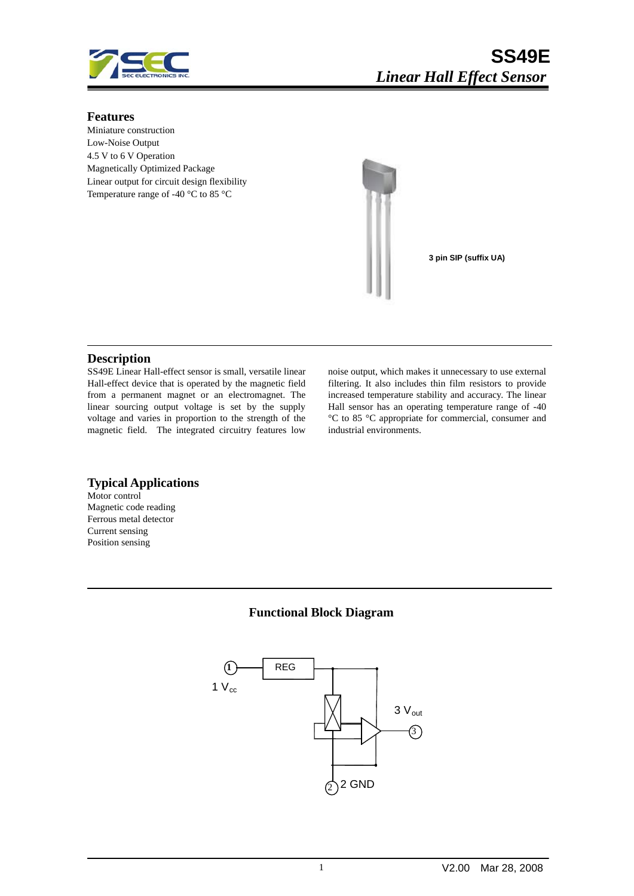

#### **Features**

Miniature construction Low-Noise Output 4.5 V to 6 V Operation Magnetically Optimized Package Linear output for circuit design flexibility Temperature range of -40 °C to 85 °C



**3 pin SIP (suffix UA)**

#### **Description**

SS49E Linear Hall-effect sensor is small, versatile linear Hall-effect device that is operated by the magnetic field from a permanent magnet or an electromagnet. The linear sourcing output voltage is set by the supply voltage and varies in proportion to the strength of the magnetic field. The integrated circuitry features low noise output, which makes it unnecessary to use external filtering. It also includes thin film resistors to provide increased temperature stability and accuracy. The linear Hall sensor has an operating temperature range of -40 °C to 85 °C appropriate for commercial, consumer and industrial environments.

#### **Typical Applications**

Motor control Magnetic code reading Ferrous metal detector Current sensing Position sensing

### **Functional Block Diagram**

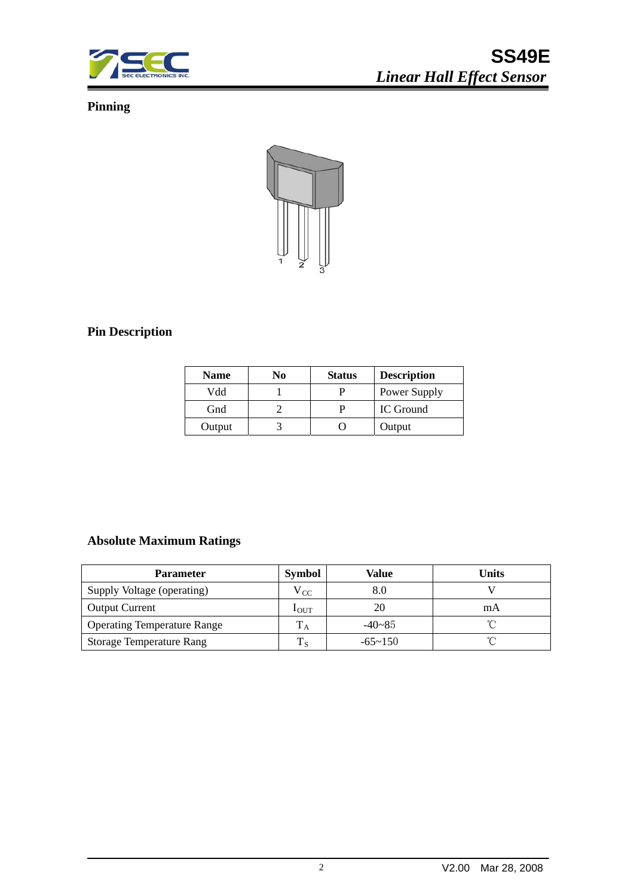

# **Pinning**



# **Pin Description**

| <b>Name</b> | No | <b>Status</b> | <b>Description</b> |
|-------------|----|---------------|--------------------|
| Vdd         |    |               | Power Supply       |
| Gnd         |    |               | IC Ground          |
| Output      |    |               | Output             |

# **Absolute Maximum Ratings**

| <b>Parameter</b>                   | <b>Symbol</b>    | Value          | Units |
|------------------------------------|------------------|----------------|-------|
| Supply Voltage (operating)         | $V_{CC}$         |                |       |
| <b>Output Current</b>              | 1 <sub>OUT</sub> |                | mA    |
| <b>Operating Temperature Range</b> |                  | $-40 - 85$     |       |
| <b>Storage Temperature Rang</b>    | lс               | $-65 \sim 150$ |       |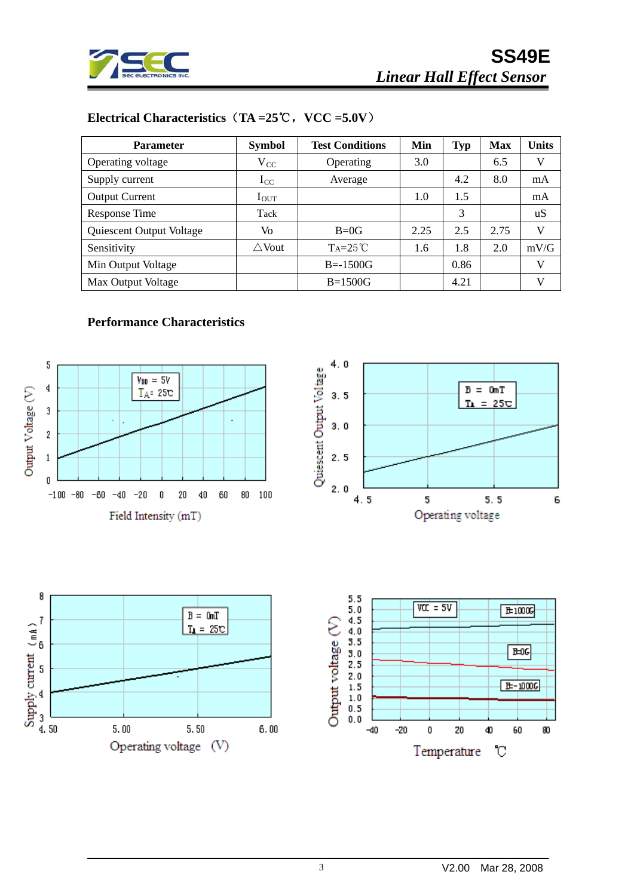

 $B = 0mT$ 

 $T_{\text{L}} = 25C$ 

 $5.5$ 

6

# **Electrical Characteristics**(**TA =25**℃,**VCC =5.0V**)

| <b>Parameter</b>         | <b>Symbol</b>    | <b>Test Conditions</b> | Min  | Typ  | <b>Max</b> | Units |
|--------------------------|------------------|------------------------|------|------|------------|-------|
| Operating voltage        | $V_{CC}$         | Operating              | 3.0  |      | 6.5        | V     |
| Supply current           | $I_{CC}$         | Average                |      | 4.2  | 8.0        | mA    |
| <b>Output Current</b>    | $I_{\rm OUT}$    |                        | 1.0  | 1.5  |            | mA    |
| Response Time            | Tack             |                        |      | 3    |            | uS    |
| Quiescent Output Voltage | Vo               | $B=0G$                 | 2.25 | 2.5  | 2.75       | V     |
| Sensitivity              | $\triangle$ Vout | $Ta=25^{\circ}C$       | 1.6  | 1.8  | 2.0        | mV/G  |
| Min Output Voltage       |                  | $B = -1500G$           |      | 0.86 |            | V     |
| Max Output Voltage       |                  | $B=1500G$              |      | 4.21 |            | V     |

### **Performance Characteristics**

8

Supply current  $\begin{pmatrix} mh \\ m \end{pmatrix}$ <br>  $\begin{pmatrix} a & b \\ c & d \end{pmatrix}$ 

 $5.00$ 





5

Operating voltage